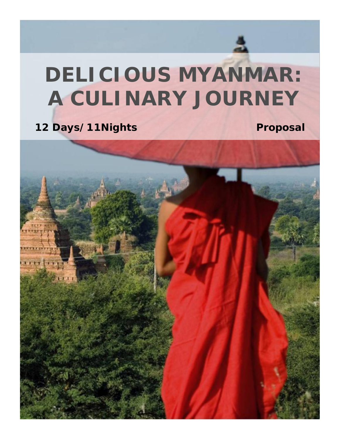# **DELICIOUS MYANMAR: A CULINARY JOURNEY**

12 Days/11Nights Proposal

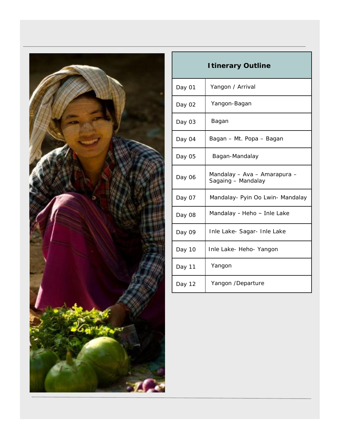

| I tinerary Outline |                                                    |
|--------------------|----------------------------------------------------|
| Day 01             | Yangon / Arrival                                   |
| Day 02             | Yangon-Bagan                                       |
| Day 03             | Bagan                                              |
| Day 04             | Bagan – Mt. Popa – Bagan                           |
| Day 05             | Bagan-Mandalay                                     |
| Day 06             | Mandalay - Ava - Amarapura -<br>Sagaing - Mandalay |
| Day 07             | Mandalay- Pyin Oo Lwin- Mandalay                   |
| Day 08             | Mandalay - Heho - Inle Lake                        |
| Day 09             | Inle Lake- Sagar- Inle Lake                        |
| Day 10             | Inle Lake- Heho- Yangon                            |
| Day 11             | Yangon                                             |
| Day 12             | Yangon /Departure                                  |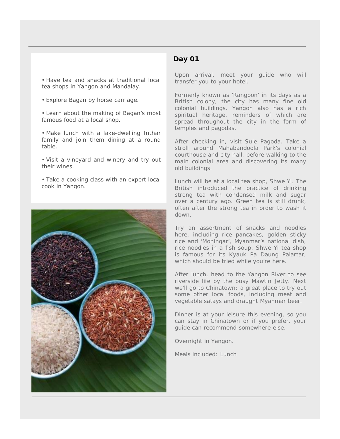## **Day 01**

 Have tea and snacks at traditional local tea shops in Yangon and Mandalay.

Explore Bagan by horse carriage.

 Learn about the making of Bagan's most famous food at a local shop.

 Make lunch with a lake-dwelling Inthar family and join them dining at a round table.

 Visit a vineyard and winery and try out their wines.

 Take a cooking class with an expert local cook in Yangon.



#### Upon arrival, meet your guide who will transfer you to your hotel.

Formerly known as 'Rangoon' in its days as a British colony, the city has many fine old colonial buildings. Yangon also has a rich spiritual heritage, reminders of which are spread throughout the city in the form of temples and pagodas.

After checking in, visit Sule Pagoda. Take a stroll around Mahabandoola Park's colonial courthouse and city hall, before walking to the main colonial area and discovering its many old buildings.

Lunch will be at a local tea shop, Shwe Yi. The British introduced the practice of drinking strong tea with condensed milk and sugar over a century ago. Green tea is still drunk, often after the strong tea in order to wash it down.

Try an assortment of snacks and noodles here, including rice pancakes, golden sticky rice and '*Mohingar*', Myanmar's national dish, rice noodles in a fish soup. Shwe Yi tea shop is famous for its *Kyauk Pa Daung Palartar*, which should be tried while you're here.

After lunch, head to the Yangon River to see riverside life by the busy Mawtin Jetty. Next we'll go to Chinatown; a great place to try out some other local foods, including meat and vegetable satays and draught Myanmar beer.

Dinner is at your leisure this evening, so you can stay in Chinatown or if you prefer, your guide can recommend somewhere else.

Overnight in Yangon.

*Meals included: Lunch*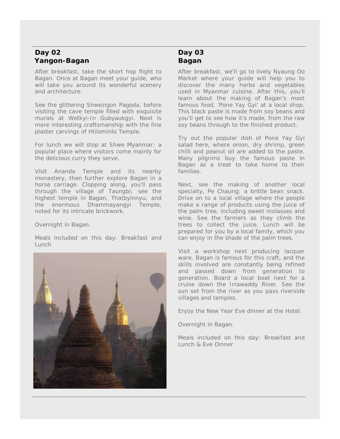## **Day 02 Yangon-Bagan**

After breakfast, take the short hop flight to Bagan. Once at Bagan meet your guide, who will take you around its wonderful scenery and architecture.

See the glittering Shwezigon Pagoda, before visiting the cave temple filled with exquisite murals at Wetkyi-In Gubyaukgyi. Next is more interesting craftsmanship with the fine plaster carvings of Htilominlo Temple.

For lunch we will stop at Shwe Myanmar; a popular place where visitors come mainly for the delicious curry they serve.

Visit Ananda Temple and its nearby monastery, then further explore Bagan in a horse carriage. Clopping along, you'll pass through the village of Taungbi; see the highest temple in Bagan, Thatbyinnyu; and the enormous Dhammayangyi Temple, noted for its intricate brickwork.

Overnight in Bagan.

*Meals included on this day: Breakfast and Lunch*



## **Day 03 Bagan**

After breakfast, we'll go to lively Nyaung Oo Market where your guide will help you to discover the many herbs and vegetables used in Myanmar cuisine. After this, you'll learn about the making of Bagan's most famous food, '*Pone Yay Gyi*'at a local shop. This black paste is made from soy beans and you'll get to see how it's made, from the raw soy beans through to the finished product.

Try out the popular dish of Pone Yay Gyi salad here, where onion, dry shrimp, green chilli and peanut oil are added to the paste. Many pilgrims buy the famous paste in Bagan as a treat to take home to their families.

Next, see the making of another local specialty, *Pe Chaung*; a brittle bean snack. Drive on to a local village where the people make a range of products using the juice of the palm tree, including sweet molasses and wine. See the farmers as they climb the trees to collect the juice. Lunch will be prepared for you by a local family, which you can enjoy in the shade of the palm trees.

Visit a workshop next producing lacquer ware. Bagan is famous for this craft, and the skills involved are constantly being refined and passed down from generation to generation. Board a local boat next for a cruise down the Irrawaddy River. See the sun set from the river as you pass riverside villages and temples.

Enjoy the New Year Eve dinner at the Hotel.

Overnight in Bagan.

*Meals included on this day: Breakfast and Lunch & Eve Dinner*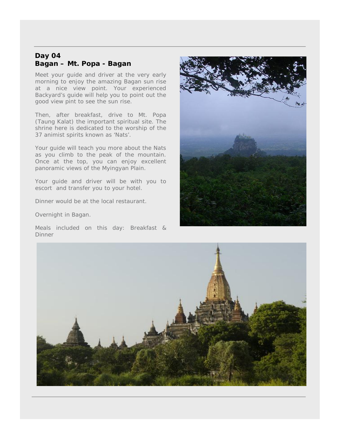## **Day 04 Bagan – Mt. Popa - Bagan**

Meet your guide and driver at the very early morning to enjoy the amazing Bagan sun rise at a nice view point. Your experienced Backyard's guide will help you to point out the good view pint to see the sun rise.

Then, after breakfast, drive to Mt. Popa (Taung Kalat) the important spiritual site. The shrine here is dedicated to the worship of the 37 animist spirits known as 'Nats'.

Your guide will teach you more about the Nats as you climb to the peak of the mountain. Once at the top, you can enjoy excellent panoramic views of the Myingyan Plain.

Your guide and driver will be with you to escort and transfer you to your hotel.

Dinner would be at the local restaurant.

Overnight in Bagan.

*Meals included on this day: Breakfast & Dinner*



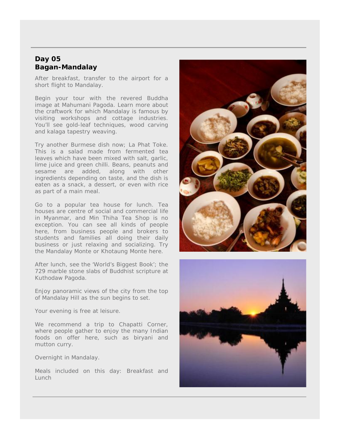#### **Day 05 Bagan-Mandalay**

After breakfast, transfer to the airport for a short flight to Mandalay.

Begin your tour with the revered Buddha image at Mahumani Pagoda. Learn more about the craftwork for which Mandalay is famous by visiting workshops and cottage industries. You'll see gold-leaf techniques, wood carving and *kalaga* tapestry weaving.

Try another Burmese dish now; *La Phat Toke*. This is a salad made from fermented tea leaves which have been mixed with salt, garlic, lime juice and green chilli. Beans, peanuts and sesame are added, along with other ingredients depending on taste, and the dish is eaten as a snack, a dessert, or even with rice as part of a main meal.

Go to a popular tea house for lunch. Tea houses are centre of social and commercial life in Myanmar, and Min Thiha Tea Shop is no exception. You can see all kinds of people here, from business people and brokers to students and families all doing their daily business or just relaxing and socializing. Try the *Mandalay Monte* or *Khotaung Monte* here.

After lunch, see the 'World's Biggest Book'; the 729 marble stone slabs of Buddhist scripture at Kuthodaw Pagoda.

Enjoy panoramic views of the city from the top of Mandalay Hill as the sun begins to set.

Your evening is free at leisure.

We recommend a trip to Chapatti Corner, where people gather to enjoy the many Indian foods on offer here, such as biryani and mutton curry.

Overnight in Mandalay.

*Meals included on this day: Breakfast and Lunch*



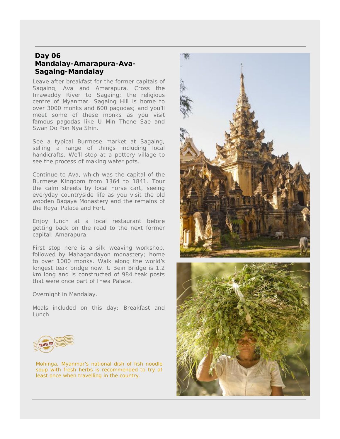#### **Day 06 Mandalay-Amarapura-Ava- Sagaing-Mandalay**

Leave after breakfast for the former capitals of Sagaing, Ava and Amarapura. Cross the Irrawaddy River to Sagaing; the religious centre of Myanmar. Sagaing Hill is home to over 3000 monks and 600 pagodas; and you'll meet some of these monks as you visit famous pagodas like U Min Thone Sae and Swan Oo Pon Nya Shin.

See a typical Burmese market at Sagaing, selling a range of things including local handicrafts. We'll stop at a pottery village to see the process of making water pots.

Continue to Ava, which was the capital of the Burmese Kingdom from 1364 to 1841. Tour the calm streets by local horse cart, seeing everyday countryside life as you visit the old wooden Bagaya Monastery and the remains of the Royal Palace and Fort.

Enjoy lunch at a local restaurant before getting back on the road to the next former capital: Amarapura.

First stop here is a silk weaving workshop, followed by Mahagandayon monastery; home to over 1000 monks. Walk along the world's longest teak bridge now. U Bein Bridge is 1.2 km long and is constructed of 984 teak posts that were once part of Inwa Palace.

Overnight in Mandalay.

*Meals included on this day: Breakfast and Lunch*



Mohinga, Myanmar's national dish of fish noodle soup with fresh herbs is recommended to try at least once when travelling in the country.



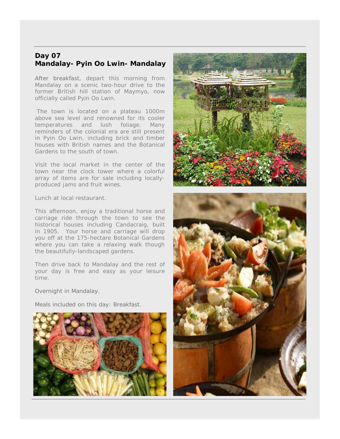## **Day 07 Mandalay- Pyin Oo Lwin- Mandalay**

After breakfast, depart this morning from Mandalay on a scenic two-hour drive to the former British hill station of Maymyo, now officially called Pyin Oo Lwin.

The town is located on a plateau 1000m above sea level and renowned for its cooler temperatures and lush foliage. Many reminders of the colonial era are still present in Pyin Oo Lwin, including brick and timber houses with British names and the Botanical Gardens to the south of town.

Visit the local market in the center of the town near the clock tower where a colorful array of items are for sale including locally produced jams and fruit wines.

Lunch at local restaurant.

This afternoon, enjoy a traditional horse and carriage ride through the town to see the historical houses including Candacraig, built in 1905. Your horse and carriage will drop you off at the 175-hectare Botanical Gardens where you can take a relaxing walk though the beautifully-landscaped gardens.

Then drive back to Mandalay and the rest of your day is free and easy as your leisure time.

Overnight in Mandalay.

*Meals included on this day: Breakfast.*





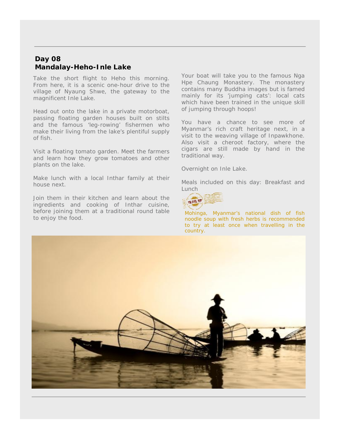### **Day 08 Mandalay-Heho-Inle Lake**

Take the short flight to Heho this morning. From here, it is a scenic one-hour drive to the village of Nyaung Shwe, the gateway to the magnificent Inle Lake.

Head out onto the lake in a private motorboat, passing floating garden houses built on stilts and the famous 'leg-rowing' fishermen who make their living from the lake's plentiful supply of fish.

Visit a floating tomato garden. Meet the farmers and learn how they grow tomatoes and other plants on the lake.

Make lunch with a local Inthar family at their house next.

Join them in their kitchen and learn about the  $\frac{1}{2}$ ingredients and cooking of Inthar cuisine, before joining them at a traditional round table to enjoy the food.

Your boat will take you to the famous Nga Hpe Chaung Monastery. The monastery contains many Buddha images but is famed mainly for its 'jumping cats': local cats which have been trained in the unique skill of jumping through hoops!

You have a chance to see more of Myanmar's rich craft heritage next, in a visit to the weaving village of Inpawkhone. Also visit a cheroot factory, where the cigars are still made by hand in the traditional way.

Overnight on Inle Lake.

*Meals included on this day: Breakfast and Lunch*



Mohinga, Myanmar's national dish of fish noodle soup with fresh herbs is recommended to try at least once when travelling in the country.

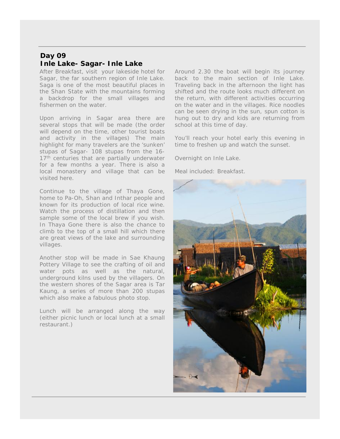# **Day 09 Inle Lake- Sagar- Inle Lake**

After Breakfast, visit your lakeside hotel for Sagar, the far southern region of Inle Lake. Saga is one of the most beautiful places in the Shan State with the mountains forming a backdrop for the small villages and fishermen on the water.

Upon arriving in Sagar area there are several stops that will be made (the order will depend on the time, other tourist boats and activity in the villages) The main highlight for many travelers are the 'sunken' stupas of Sagar- 108 stupas from the 16- 17<sup>th</sup> centuries that are partially underwater for a few months a year. There is also a local monastery and village that can be visited here.

Continue to the village of Thaya Gone, home to Pa-Oh, Shan and Inthar people and known for its production of local rice wine. Watch the process of distillation and then sample some of the local brew if you wish. In Thaya Gone there is also the chance to climb to the top of a small hill which there are great views of the lake and surrounding villages.

Another stop will be made in Sae Khaung Pottery Village to see the crafting of oil and water pots as well as the natural, underground kilns used by the villagers. On the western shores of the Sagar area is Tar Kaung, a series of more than 200 stupas which also make a fabulous photo stop.

Lunch will be arranged along the way (either picnic lunch or local lunch at a small restaurant.)

Around 2.30 the boat will begin its journey back to the main section of Inle Lake. Traveling back in the afternoon the light has shifted and the route looks much different on the return, with different activities occurring on the water and in the villages. Rice noodles can be seen drying in the sun, spun cotton is hung out to dry and kids are returning from school at this time of day.

You'll reach your hotel early this evening in time to freshen up and watch the sunset.

Overnight on Inle Lake.

*Meal included: Breakfast.*

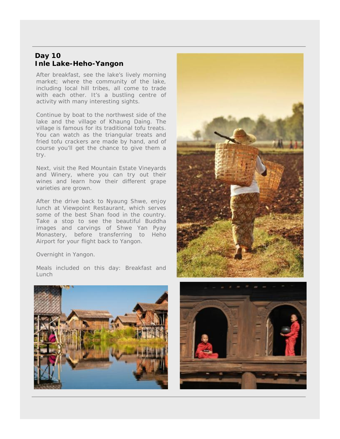## **Day 10 Inle Lake-Heho-Yangon**

After breakfast, see the lake's lively morning market; where the community of the lake, including local hill tribes, all come to trade with each other. It's a bustling centre of activity with many interesting sights.

Continue by boat to the northwest side of the lake and the village of Khaung Daing. The village is famous for its traditional tofu treats. You can watch as the triangular treats and fried tofu crackers are made by hand, and of course you'll get the chance to give them a try.

Next, visit the Red Mountain Estate Vineyards and Winery, where you can try out their wines and learn how their different grape varieties are grown.

After the drive back to Nyaung Shwe, enjoy lunch at Viewpoint Restaurant, which serves some of the best Shan food in the country. Take a stop to see the beautiful Buddha images and carvings of Shwe Yan Pyay Monastery, before transferring to Heho Airport for your flight back to Yangon.

Overnight in Yangon.

*Meals included on this day: Breakfast and Lunch*





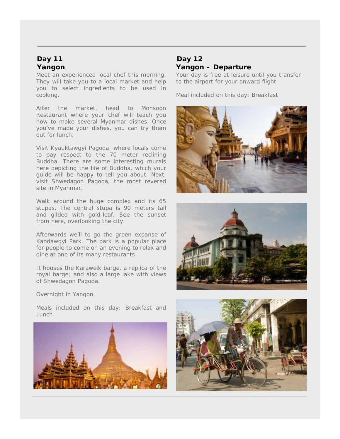#### **Day 11 Yangon**

Meet an experienced local chef this morning. They will take you to a local market and help you to select ingredients to be used in cooking.

After the market, head to Monsoon Restaurant where your chef will teach you how to make several Myanmar dishes. Once you've made your dishes, you can try them out for lunch.

Visit Kyauktawgyi Pagoda, where locals come to pay respect to the 70 meter reclining Buddha. There are some interesting murals here depicting the life of Buddha, which your guide will be happy to tell you about. Next, visit Shwedagon Pagoda, the most revered site in Myanmar.

Walk around the huge complex and its 65 stupas. The central stupa is 90 meters tall and gilded with gold-leaf. See the sunset from here, overlooking the city.

Afterwards we'll to go the green expanse of Kandawgyi Park. The park is a popular place for people to come on an evening to relax and dine at one of its many restaurants.

It houses the Karaweik barge, a replica of the royal barge; and also a large lake with views of Shwedagon Pagoda.

### **Day 12 Yangon – Departure**

Your day is free at leisure until you transfer to the airport for your onward flight.

*Meal included on this day: Breakfast*





Overnight in Yangon.

*Meals included on this day: Breakfast and Lunch*



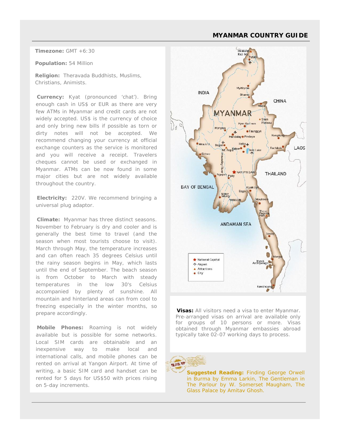#### **MYANMAR COUNTRY GUIDE**

**Timezone:** GMT +6:30

**Population:** 54 Million

**Religion:** Theravada Buddhists, Muslims, Christians, Animists.

**Currency:** Kyat (pronounced 'chat'). Bring enough cash in US\$ or EUR as there are very few ATMs in Myanmar and credit cards are not widely accepted. US\$ is the currency of choice and only bring new bills if possible as torn or dirty notes will not be accepted. We recommend changing your currency at official exchange counters as the service is monitored and you will receive a receipt. Travelers cheques cannot be used or exchanged in Myanmar. ATMs can be now found in some major cities but are not widely available throughout the country.

**Electricity:** 220V. We recommend bringing a universal plug adaptor.

**Climate:** Myanmar has three distinct seasons. November to February is dry and cooler and is generally the best time to travel (and the season when most tourists choose to visit). March through May, the temperature increases and can often reach 35 degrees Celsius until the rainy season begins in May, which lasts until the end of September. The beach season is from October to March with steady temperatures in the low 30's Celsius accompanied by plenty of sunshine. All mountain and hinterland areas can from cool to freezing especially in the winter months, so prepare accordingly.

**Mobile Phones:** Roaming is not widely available but is possible for some networks. Local SIM cards are obtainable and an inexpensive way to make local and international calls, and mobile phones can be rented on arrival at Yangon Airport. At time of rented on arrival at Yangon Airport. At time of writing, a basic SIM card and handset can be rented for 5 days for US\$50 with prices rising on 5-day increments.



**Visas:** All visitors need a visa to enter Myanmar. Pre-arranged visas on arrival are available only for groups of 10 persons or more. Visas obtained through Myanmar embassies abroad typically take 02-07 working days to process.



 **Suggested Reading:** *Finding George Orwell The Parlour* by W. Somerset Maugham*, The in Burma* by Emma Larkin*, The Gentleman in Glass Palace* by Amitav Ghosh.